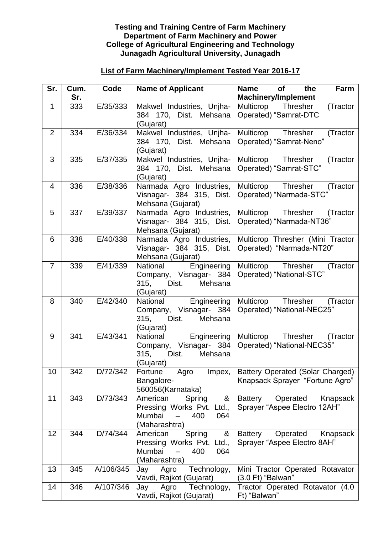## **Testing and Training Centre of Farm Machinery Department of Farm Machinery and Power College of Agricultural Engineering and Technology Junagadh Agricultural University, Junagadh**

## **List of Farm Machinery/Implement Tested Year 2016-17**

| Sr.            | Cum.<br>Sr. | Code      | <b>Name of Applicant</b>                                                                         | <b>Name</b><br><b>of</b><br>the<br>Farm<br><b>Machinery/Implement</b>  |
|----------------|-------------|-----------|--------------------------------------------------------------------------------------------------|------------------------------------------------------------------------|
| $\mathbf 1$    | 333         | E/35/333  | Makwel Industries, Unjha-<br>384 170, Dist. Mehsana<br>(Gujarat)                                 | Multicrop Thresher<br>(Tractor<br>Operated) "Samrat-DTC                |
| $\overline{2}$ | 334         | E/36/334  | Makwel Industries, Unjha-<br>384 170, Dist. Mehsana<br>(Gujarat)                                 | Multicrop Thresher<br>(Tractor<br>Operated) "Samrat-Neno"              |
| 3              | 335         | E/37/335  | Makwel Industries, Unjha-<br>384 170, Dist. Mehsana<br>(Gujarat)                                 | Multicrop Thresher<br>(Tractor<br>Operated) "Samrat-STC"               |
| 4              | 336         | E/38/336  | Narmada Agro Industries,<br>Visnagar- 384 315, Dist.<br>Mehsana (Gujarat)                        | Multicrop Thresher<br>(Tractor<br>Operated) "Narmada-STC"              |
| 5              | 337         | E/39/337  | Narmada Agro Industries,<br>Visnagar- 384 315, Dist.<br>Mehsana (Gujarat)                        | Multicrop Thresher<br>(Tractor<br>Operated) "Narmada-NT36"             |
| 6              | 338         | E/40/338  | Narmada Agro Industries,<br>Visnagar- 384 315, Dist.<br>Mehsana (Gujarat)                        | Multicrop Thresher (Mini Tractor<br>Operated) "Narmada-NT20"           |
| $\overline{7}$ | 339         | E/41/339  | National<br>Engineering<br>Company, Visnagar- 384<br>315, Dist.<br>Mehsana<br>(Gujarat)          | Multicrop Thresher<br>(Tractor<br>Operated) "National-STC"             |
| 8              | 340         | E/42/340  | Engineering<br>National<br>Company, Visnagar- 384<br>Dist.<br>Mehsana<br>315,<br>(Gujarat)       | Multicrop Thresher<br>(Tractor<br>Operated) "National-NEC25"           |
| 9              | 341         | E/43/341  | National<br>Engineering<br>Company, Visnagar- 384<br>315,<br>Dist.<br>Mehsana<br>(Gujarat)       | Multicrop Thresher<br>(Tractor<br>Operated) "National-NEC35"           |
| 10             | 342         | D/72/342  | Impex,<br>Fortune<br>Agro<br>Bangalore-<br>560056(Karnataka)                                     | Battery Operated (Solar Charged)<br>Knapsack Sprayer "Fortune Agro"    |
| 11             | 343         | D/73/343  | American<br>Spring<br>&<br>Pressing Works Pvt.<br>Ltd.,<br>Mumbai<br>400<br>064<br>(Maharashtra) | <b>Battery</b><br>Operated<br>Knapsack<br>Sprayer "Aspee Electro 12AH" |
| 12             | 344         | D/74/344  | &<br>American<br>Spring<br>Pressing Works Pvt. Ltd.,<br>Mumbai<br>400<br>064<br>(Maharashtra)    | Operated<br>Battery<br>Knapsack<br>Sprayer "Aspee Electro 8AH"         |
| 13             | 345         | A/106/345 | Technology,<br>Jay<br>Agro<br>Vavdi, Rajkot (Gujarat)                                            | Mini Tractor Operated Rotavator<br>(3.0 Ft) "Balwan"                   |
| 14             | 346         | A/107/346 | Technology,<br>Agro<br>Jay<br>Vavdi, Rajkot (Gujarat)                                            | Tractor Operated Rotavator (4.0<br>Ft) "Balwan"                        |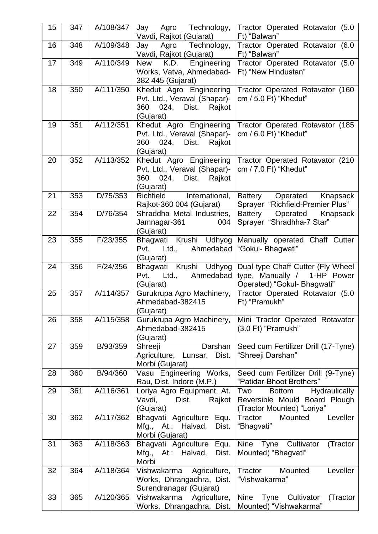| 15 | 347 | A/108/347 | Agro Technology,<br>Jay                                                                                | Tractor Operated Rotavator (5.0                                                                      |
|----|-----|-----------|--------------------------------------------------------------------------------------------------------|------------------------------------------------------------------------------------------------------|
|    |     |           | Vavdi, Rajkot (Gujarat)                                                                                | Ft) "Balwan"                                                                                         |
| 16 | 348 | A/109/348 | Technology,<br>Agro<br>Jay<br>Vavdi, Rajkot (Gujarat)                                                  | Tractor Operated Rotavator (6.0<br>Ft) "Balwan"                                                      |
| 17 | 349 | A/110/349 | <b>New</b><br>K.D.<br>Engineering<br>Works, Vatva, Ahmedabad-<br>382 445 (Gujarat)                     | Tractor Operated Rotavator (5.0<br>Ft) "New Hindustan"                                               |
| 18 | 350 | A/111/350 | Khedut Agro Engineering<br>Pvt. Ltd., Veraval (Shapar)-<br>024,<br>Dist.<br>Rajkot<br>360<br>(Gujarat) | Tractor Operated Rotavator (160<br>cm / 5.0 Ft) "Khedut"                                             |
| 19 | 351 | A/112/351 | Khedut Agro Engineering<br>Pvt. Ltd., Veraval (Shapar)-<br>360<br>024,<br>Dist.<br>Rajkot<br>(Gujarat) | Tractor Operated Rotavator (185<br>cm / 6.0 Ft) "Khedut"                                             |
| 20 | 352 | A/113/352 | Khedut Agro Engineering<br>Pvt. Ltd., Veraval (Shapar)-<br>024,<br>Rajkot<br>360<br>Dist.<br>(Gujarat) | Tractor Operated Rotavator (210<br>cm / 7.0 Ft) "Khedut"                                             |
| 21 | 353 | D/75/353  | Richfield<br>International,<br>Rajkot-360 004 (Gujarat)                                                | <b>Battery</b><br>Operated<br>Knapsack<br>Sprayer "Richfield-Premier Plus"                           |
| 22 | 354 | D/76/354  | Shraddha Metal Industries,<br>Jamnagar-361<br>004<br>(Gujarat)                                         | Operated<br><b>Battery</b><br>Knapsack<br>Sprayer "Shradhha-7 Star"                                  |
| 23 | 355 | F/23/355  | Krushi Udhyog<br>Bhagwati<br>Ahmedabad<br>Ltd.,<br>Pvt.<br>(Gujarat)                                   | Manually operated Chaff Cutter<br>"Gokul- Bhagwati"                                                  |
| 24 | 356 | F/24/356  | Krushi Udhyog<br>Bhagwati<br>Ahmedabad<br>Pvt.<br>Ltd.,<br>(Gujarat)                                   | Dual type Chaff Cutter (Fly Wheel<br>type, Manually / 1-HP Power<br>Operated) "Gokul- Bhagwati"      |
| 25 | 357 | A/114/357 | Gurukrupa Agro Machinery,<br>Ahmedabad-382415<br>Gujarat)                                              | Tractor Operated Rotavator (5.0<br>Ft) "Pramukh"                                                     |
| 26 | 358 | A/115/358 | Gurukrupa Agro Machinery,<br>Ahmedabad-382415<br>(Gujarat)                                             | Mini Tractor Operated Rotavator<br>(3.0 Ft) "Pramukh"                                                |
| 27 | 359 | B/93/359  | Shreeji<br>Darshan<br>Agriculture, Lunsar, Dist.<br>Morbi (Gujarat)                                    | Seed cum Fertilizer Drill (17-Tyne)<br>"Shreeji Darshan"                                             |
| 28 | 360 | B/94/360  | Vasu Engineering Works,<br>Rau, Dist. Indore (M.P.)                                                    | Seed cum Fertilizer Drill (9-Tyne)<br>"Patidar-Bhoot Brothers"                                       |
| 29 | 361 | A/116/361 | Loriya Agro Equipment, At.<br>Vavdi,<br>Rajkot<br>Dist.<br>(Gujarat)                                   | Hydraulically<br>Two<br><b>Bottom</b><br>Reversible Mould Board Plough<br>(Tractor Mounted) "Loriya" |
| 30 | 362 | A/117/362 | Bhagvati Agriculture Equ.<br>Mfg., At.: Halvad,<br>Dist.<br>Morbi (Gujarat)                            | Leveller<br>Tractor<br>Mounted<br>"Bhagvati"                                                         |
| 31 | 363 | A/118/363 | Bhagvati Agriculture<br>Equ.<br>Mfg.,<br>At.: Halvad,<br>Dist.<br>Morbi                                | Nine<br>Tyne<br>Cultivator<br>(Tractor<br>Mounted) "Bhagvati"                                        |
| 32 | 364 | A/118/364 | Vishwakarma Agriculture,<br>Works, Dhrangadhra, Dist.<br>Surendranagar (Gujarat)                       | Tractor<br>Mounted<br>Leveller<br>"Vishwakarma"                                                      |
| 33 | 365 | A/120/365 | Vishwakarma<br>Agriculture,<br>Works, Dhrangadhra, Dist.                                               | <b>Nine</b><br>Cultivator<br>(Tractor<br>Tyne<br>Mounted) "Vishwakarma"                              |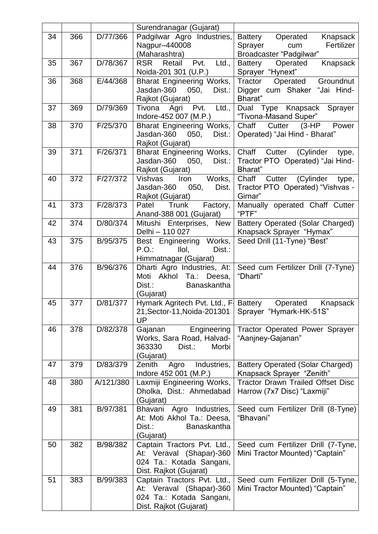|    |     |           | Surendranagar (Gujarat)                                                                                       |                                                                                            |
|----|-----|-----------|---------------------------------------------------------------------------------------------------------------|--------------------------------------------------------------------------------------------|
| 34 | 366 | D/77/366  | Padgilwar Agro Industries,<br>Nagpur-440008<br>(Maharashtra)                                                  | Operated<br>Knapsack<br>Battery<br>Fertilizer<br>Sprayer<br>cum<br>Broadcaster "Padgilwar" |
| 35 | 367 | D/78/367  | <b>RSR</b><br>Retail<br>Pvt.<br>Ltd.,<br>Noida-201 301 (U.P.)                                                 | <b>Battery</b><br>Knapsack<br>Operated<br>Sprayer "Hynext"                                 |
| 36 | 368 | E/44/368  | <b>Bharat Engineering Works,</b><br>Jasdan-360<br>050,<br>Dist.:<br>Rajkot (Gujarat)                          | Tractor<br>Operated<br>Groundnut<br>Digger cum Shaker "Jai Hind-<br>Bharat"                |
| 37 | 369 | D/79/369  | Ltd.,<br>Agri<br>Pvt.<br>Tivona<br>Indore-452 007 (M.P.)                                                      | Knapsack<br>Sprayer<br>Dual<br>Type<br>"Tivona-Masand Super"                               |
| 38 | 370 | F/25/370  | <b>Bharat Engineering Works,</b><br>Jasdan-360<br>050,<br>Dist.:<br>Rajkot (Gujarat)                          | Chaff<br>Cutter<br>(3-HP<br>Power<br>Operated) "Jai Hind - Bharat"                         |
| 39 | 371 | F/26/371  | <b>Bharat Engineering Works,</b><br>Jasdan-360<br>050,<br>Dist.:<br>Rajkot (Gujarat)                          | Chaff<br>(Cylinder<br>Cutter<br>type,<br>Tractor PTO Operated) "Jai Hind-<br>Bharat"       |
| 40 | 372 | F/27/372  | Works,<br><b>Vishvas</b><br>Iron<br>Jasdan-360<br>050,<br>Dist.<br>Rajkot (Gujarat)                           | Chaff<br>Cutter (Cylinder<br>type,<br>Tractor PTO Operated) "Vishvas -<br>Girnar"          |
| 41 | 373 | F/28/373  | Trunk<br>Factory,<br>Patel<br>Anand-388 001 (Gujarat)                                                         | Manually operated Chaff Cutter<br>"PTF"                                                    |
| 42 | 374 | D/80/374  | Mitushi Enterprises, New<br>Delhi - 110 027                                                                   | Battery Operated (Solar Charged)<br>Knapsack Sprayer "Hymax"                               |
| 43 | 375 | B/95/375  | Best Engineering Works,<br>P.O.<br>Ilol,<br>Dist.:<br>Himmatnagar (Gujarat)                                   | Seed Drill (11-Tyne) "Best"                                                                |
| 44 | 376 | B/96/376  | Dharti Agro Industries, At:<br>Akhol<br>Deesa,<br>Moti<br>Ta.:<br>Dist.:<br>Banaskantha<br>(Gujarat)          | Seed cum Fertilizer Drill (7-Tyne)<br>"Dharti"                                             |
| 45 | 377 | D/81/377  | Hymark Agritech Pvt. Ltd., F. Battery<br>21, Sector-11, Noida-201301<br>UP                                    | Operated<br>Knapsack<br>Sprayer "Hymark-HK-51S"                                            |
| 46 | 378 | D/82/378  | Gajanan<br>Engineering<br>Works, Sara Road, Halvad-<br>363330<br>Dist.:<br>Morbi<br>(Gujarat)                 | <b>Tractor Operated Power Sprayer</b><br>"Aanjney-Gajanan"                                 |
| 47 | 379 | D/83/379  | Industries,<br>Zenith<br>Agro<br>Indore 452 001 (M.P.)                                                        | <b>Battery Operated (Solar Charged)</b><br>Knapsack Sprayer "Zenith"                       |
| 48 | 380 | A/121/380 | Laxmiji Engineering Works,<br>Dholka, Dist.: Ahmedabad<br>(Gujarat)                                           | <b>Tractor Drawn Trailed Offset Disc</b><br>Harrow (7x7 Disc) "Laxmiji"                    |
| 49 | 381 | B/97/381  | Bhavani<br>Agro<br>Industries,<br>At: Moti Akhol Ta.: Deesa,<br>Dist.:<br><b>Banaskantha</b><br>(Gujarat)     | Seed cum Fertilizer Drill (8-Tyne)<br>"Bhavani"                                            |
| 50 | 382 | B/98/382  | Captain Tractors Pvt. Ltd.,<br>At: Veraval (Shapar)-360<br>024 Ta.: Kotada Sangani,<br>Dist. Rajkot (Gujarat) | Seed cum Fertilizer Drill (7-Tyne,<br>Mini Tractor Mounted) "Captain"                      |
| 51 | 383 | B/99/383  | Captain Tractors Pvt. Ltd.,<br>At: Veraval (Shapar)-360<br>024 Ta.: Kotada Sangani,<br>Dist. Rajkot (Gujarat) | Seed cum Fertilizer Drill (5-Tyne,<br>Mini Tractor Mounted) "Captain"                      |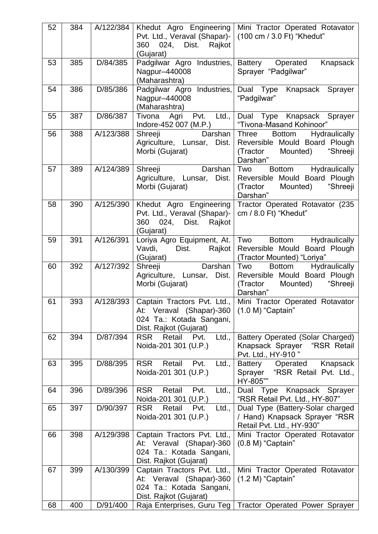| 52 | 384 | A/122/384 | Khedut Agro Engineering<br>Pvt. Ltd., Veraval (Shapar)-<br>024,<br>Dist.<br>Rajkot<br>360<br>(Gujarat)        | Mini Tractor Operated Rotavator<br>(100 cm / 3.0 Ft) "Khedut"                                                            |
|----|-----|-----------|---------------------------------------------------------------------------------------------------------------|--------------------------------------------------------------------------------------------------------------------------|
| 53 | 385 | D/84/385  | Padgilwar Agro Industries,<br>Nagpur-440008<br>(Maharashtra)                                                  | <b>Battery</b><br>Operated<br>Knapsack<br>Sprayer "Padgilwar"                                                            |
| 54 | 386 | D/85/386  | Padgilwar Agro Industries,<br>Nagpur-440008<br>(Maharashtra)                                                  | Dual Type<br>Knapsack Sprayer<br>"Padgilwar"                                                                             |
| 55 | 387 | D/86/387  | Pvt.<br>Ltd.,<br>Tivona<br>Agri<br>Indore-452 007 (M.P.)                                                      | Dual Type Knapsack Sprayer<br>"Tivona-Masand Kohinoor"                                                                   |
| 56 | 388 | A/123/388 | Shreeji<br>Darshan<br>Agriculture, Lunsar, Dist.<br>Morbi (Gujarat)                                           | Three<br>Hydraulically<br><b>Bottom</b><br>Reversible Mould Board Plough<br>(Tractor<br>Mounted)<br>"Shreeji<br>Darshan" |
| 57 | 389 | A/124/389 | Darshan<br>Shreeji<br>Agriculture, Lunsar, Dist.<br>Morbi (Gujarat)                                           | Two<br>Hydraulically<br><b>Bottom</b><br>Reversible Mould Board Plough<br>"Shreeji<br>(Tractor<br>Mounted)<br>Darshan"   |
| 58 | 390 | A/125/390 | Khedut Agro Engineering<br>Pvt. Ltd., Veraval (Shapar)-<br>360<br>024, Dist.<br>Rajkot<br>(Gujarat)           | Tractor Operated Rotavator (235<br>cm / 8.0 Ft) "Khedut"                                                                 |
| 59 | 391 | A/126/391 | Loriya Agro Equipment, At.<br>Vavdi,<br>Dist.<br>Rajkot<br>(Gujarat)                                          | Two<br><b>Bottom</b><br>Hydraulically<br>Reversible Mould Board Plough<br>(Tractor Mounted) "Loriya"                     |
| 60 | 392 | A/127/392 | Darshan<br>Shreeji<br>Agriculture, Lunsar, Dist.<br>Morbi (Gujarat)                                           | Two<br>Hydraulically<br><b>Bottom</b><br>Reversible Mould Board Plough<br>(Tractor<br>Mounted)<br>"Shreeji<br>Darshan"   |
| 61 | 393 | A/128/393 | At: Veraval (Shapar)-360<br>024 Ta.: Kotada Sangani,<br>Dist. Rajkot (Gujarat)                                | Captain Tractors Pvt. Ltd., Mini Tractor Operated Rotavator<br>$(1.0 M)$ "Captain"                                       |
| 62 | 394 | D/87/394  | <b>RSR</b><br>Retail<br>Pvt.<br>Ltd.,<br>Noida-201 301 (U.P.)                                                 | <b>Battery Operated (Solar Charged)</b><br>Knapsack Sprayer<br>"RSR Retail<br>Pvt. Ltd., HY-910"                         |
| 63 | 395 | D/88/395  | <b>RSR</b><br>Retail<br>Pvt.<br>Ltd.,<br>Noida-201 301 (U.P.)                                                 | Battery<br>Operated<br>Knapsack<br>"RSR Retail Pvt. Ltd.,<br>Sprayer<br>HY-805""                                         |
| 64 | 396 | D/89/396  | <b>RSR</b><br>Retail<br>Pvt.<br>Ltd.,<br>Noida-201 301 (U.P.)                                                 | Dual Type Knapsack Sprayer<br>"RSR Retail Pvt. Ltd., HY-807"                                                             |
| 65 | 397 | D/90/397  | <b>RSR</b><br>Retail<br>Pvt.<br>Ltd.,<br>Noida-201 301 (U.P.)                                                 | Dual Type (Battery-Solar charged<br>/ Hand) Knapsack Sprayer "RSR<br>Retail Pvt. Ltd., HY-930"                           |
| 66 | 398 | A/129/398 | Captain Tractors Pvt. Ltd.,<br>At: Veraval (Shapar)-360<br>024 Ta.: Kotada Sangani,<br>Dist. Rajkot (Gujarat) | Mini Tractor Operated Rotavator<br>$(0.8 M)$ "Captain"                                                                   |
| 67 | 399 | A/130/399 | Captain Tractors Pvt. Ltd.,<br>At: Veraval (Shapar)-360<br>024 Ta.: Kotada Sangani,<br>Dist. Rajkot (Gujarat) | Mini Tractor Operated Rotavator<br>$(1.2 M)$ "Captain"                                                                   |
| 68 | 400 | D/91/400  |                                                                                                               | Raja Enterprises, Guru Teg   Tractor Operated Power Sprayer                                                              |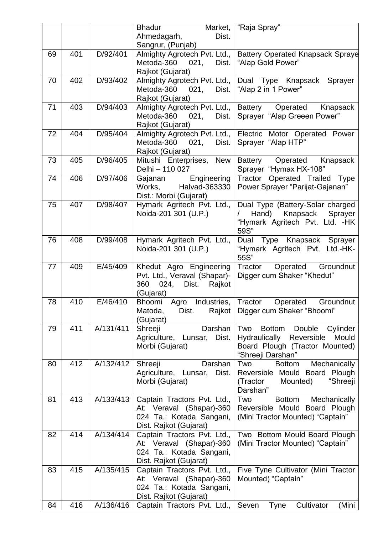|    |     |           | <b>Bhadur</b><br>Market,                                                                                      | "Raja Spray"                                                                                                                              |
|----|-----|-----------|---------------------------------------------------------------------------------------------------------------|-------------------------------------------------------------------------------------------------------------------------------------------|
|    |     |           | Dist.<br>Ahmedagarh,<br>Sangrur, (Punjab)                                                                     |                                                                                                                                           |
| 69 | 401 | D/92/401  | Almighty Agrotech Pvt. Ltd.,  <br>Metoda-360<br>021,<br>Dist.<br>Rajkot (Gujarat)                             | <b>Battery Operated Knapsack Spraye</b><br>"Alap Gold Power"                                                                              |
| 70 | 402 | D/93/402  | Almighty Agrotech Pvt. Ltd.,<br>Metoda-360<br>021,<br>Dist.<br>Rajkot (Gujarat)                               | Dual Type Knapsack Sprayer<br>"Alap 2 in 1 Power"                                                                                         |
| 71 | 403 | D/94/403  | Almighty Agrotech Pvt. Ltd.,  <br>Metoda-360<br>021,<br>Dist.<br>Rajkot (Gujarat)                             | <b>Battery</b><br>Operated<br>Knapsack<br>Sprayer "Alap Greeen Power"                                                                     |
| 72 | 404 | D/95/404  | Almighty Agrotech Pvt. Ltd.,<br>Metoda-360<br>021,<br>Dist.<br>Rajkot (Gujarat)                               | Electric Motor Operated Power<br>Sprayer "Alap HTP"                                                                                       |
| 73 | 405 | D/96/405  | Mitushi Enterprises, New<br>Delhi - 110 027                                                                   | Operated Knapsack<br>Battery<br>Sprayer "Hymax HX-108"                                                                                    |
| 74 | 406 | D/97/406  | Engineering<br>Gajanan<br>Halvad-363330<br>Works,<br>Dist.: Morbi (Gujarat)                                   | Tractor Operated Trailed Type<br>Power Sprayer "Parijat-Gajanan"                                                                          |
| 75 | 407 | D/98/407  | Hymark Agritech Pvt. Ltd.,<br>Noida-201 301 (U.P.)                                                            | Dual Type (Battery-Solar charged<br>Knapsack<br>Hand)<br>Sprayer<br>"Hymark Agritech Pvt. Ltd. - HK<br>59S"                               |
| 76 | 408 | D/99/408  | Hymark Agritech Pvt. Ltd.,<br>Noida-201 301 (U.P.)                                                            | Type Knapsack Sprayer<br>Dual<br>"Hymark Agritech Pvt. Ltd.-HK-<br>55S"                                                                   |
| 77 | 409 | E/45/409  | Khedut Agro Engineering<br>Pvt. Ltd., Veraval (Shapar)-<br>360<br>024,<br>Dist.<br>Rajkot<br>(Gujarat)        | Groundnut<br>Tractor<br>Operated<br>Digger cum Shaker "Khedut"                                                                            |
| 78 | 410 | E/46/410  | Bhoomi Agro<br>Industries,<br>Dist.<br>Rajkot  <br>Matoda,<br>(Gujarat)                                       | Tractor<br>Groundnut<br>Operated<br>Digger cum Shaker "Bhoomi"                                                                            |
| 79 | 411 | A/131/411 | Shreeji<br>Darshan<br>Agriculture, Lunsar,<br>Dist.<br>Morbi (Gujarat)                                        | Two<br>Double<br>Cylinder<br><b>Bottom</b><br>Hydraulically<br>Reversible<br>Mould<br>Board Plough (Tractor Mounted)<br>"Shreeji Darshan" |
| 80 | 412 | A/132/412 | Shreeji<br>Darshan<br>Agriculture, Lunsar,<br>Dist.<br>Morbi (Gujarat)                                        | Mechanically<br>Two<br><b>Bottom</b><br>Reversible Mould Board Plough<br>"Shreeji<br>(Tractor<br>Mounted)<br>Darshan"                     |
| 81 | 413 | A/133/413 | Captain Tractors Pvt. Ltd.,<br>At: Veraval (Shapar)-360<br>024 Ta.: Kotada Sangani,<br>Dist. Rajkot (Gujarat) | Two<br><b>Bottom</b><br>Mechanically<br>Reversible Mould Board Plough<br>(Mini Tractor Mounted) "Captain"                                 |
| 82 | 414 | A/134/414 | Captain Tractors Pvt. Ltd.,<br>At: Veraval (Shapar)-360<br>024 Ta.: Kotada Sangani,<br>Dist. Rajkot (Gujarat) | Two Bottom Mould Board Plough<br>(Mini Tractor Mounted) "Captain"                                                                         |
| 83 | 415 | A/135/415 | Captain Tractors Pvt. Ltd.,<br>At: Veraval (Shapar)-360<br>024 Ta.: Kotada Sangani,<br>Dist. Rajkot (Gujarat) | Five Tyne Cultivator (Mini Tractor<br>Mounted) "Captain"                                                                                  |
| 84 | 416 | A/136/416 | Captain Tractors Pvt. Ltd., Seven                                                                             | Tyne<br>Cultivator<br>(Mini                                                                                                               |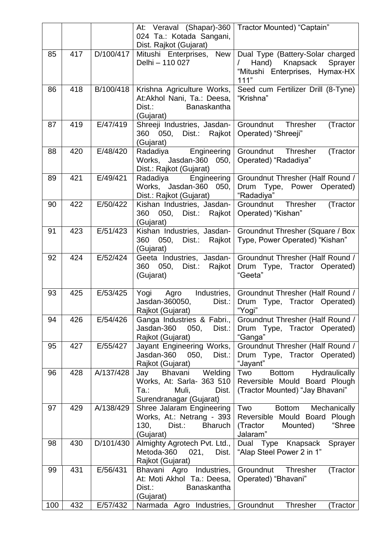|     |     |           | At: Veraval (Shapar)-360   Tractor Mounted) "Captain"      |                                                                  |
|-----|-----|-----------|------------------------------------------------------------|------------------------------------------------------------------|
|     |     |           | 024 Ta.: Kotada Sangani,                                   |                                                                  |
|     |     |           | Dist. Rajkot (Gujarat)                                     |                                                                  |
| 85  | 417 | D/100/417 | <b>New</b><br>Mitushi Enterprises,                         | Dual Type (Battery-Solar charged                                 |
|     |     |           | Delhi - 110 027                                            | Knapsack Sprayer<br>Hand)                                        |
|     |     |           |                                                            | "Mitushi Enterprises, Hymax-HX                                   |
|     |     |           |                                                            | 111"                                                             |
| 86  | 418 | B/100/418 | Krishna Agriculture Works,                                 | Seed cum Fertilizer Drill (8-Tyne)                               |
|     |     |           | At:Akhol Nani, Ta.: Deesa,<br>Banaskantha<br>Dist.:        | "Krishna"                                                        |
|     |     |           | (Gujarat)                                                  |                                                                  |
| 87  | 419 | E/47/419  | Shreeji Industries, Jasdan-                                | Groundnut Thresher<br>(Tractor                                   |
|     |     |           | 360<br>050, Dist.:<br>Rajkot                               | Operated) "Shreeji"                                              |
|     |     |           | (Gujarat)                                                  |                                                                  |
| 88  | 420 | E/48/420  | Engineering<br>Radadiya                                    | Groundnut Thresher<br>(Tractor                                   |
|     |     |           | Works, Jasdan-360 050,                                     | Operated) "Radadiya"                                             |
|     |     |           | Dist.: Rajkot (Gujarat)                                    |                                                                  |
| 89  | 421 | E/49/421  | Radadiya<br>Engineering                                    | Groundnut Thresher (Half Round /                                 |
|     |     |           | Works, Jasdan-360<br>050,                                  | Drum Type, Power Operated)                                       |
|     |     |           | Dist.: Rajkot (Gujarat)                                    | "Radadiya"                                                       |
| 90  | 422 | E/50/422  | Kishan Industries, Jasdan-                                 | (Tractor<br>Groundnut<br>Thresher                                |
|     |     |           | Dist.:<br>360<br>050.<br>Rajkot                            | Operated) "Kishan"                                               |
| 91  | 423 | E/51/423  | (Gujarat)<br>Kishan Industries, Jasdan-                    | Groundnut Thresher (Square / Box                                 |
|     |     |           | 360<br>050.<br>Dist.:<br>Rajkot                            | Type, Power Operated) "Kishan"                                   |
|     |     |           | (Gujarat)                                                  |                                                                  |
| 92  | 424 | E/52/424  | Geeta Industries, Jasdan-                                  | Groundnut Thresher (Half Round /                                 |
|     |     |           | Dist.:<br>360<br>050,<br>Rajkot                            | Drum Type, Tractor Operated)                                     |
|     |     |           | (Gujarat)                                                  | "Geeta"                                                          |
|     |     |           |                                                            |                                                                  |
| 93  | 425 | E/53/425  | Yogi<br>Agro Industries,                                   | Groundnut Thresher (Half Round /                                 |
|     |     |           | Jasdan-360050,<br>Dist.:                                   | Drum Type, Tractor Operated)                                     |
|     |     |           | Rajkot (Gujarat)                                           | "Yogi"                                                           |
| 94  | 426 | E/54/426  | Ganga Industries & Fabri.,<br>Jasdan-360<br>050,<br>Dist.: | Groundnut Thresher (Half Round /<br>Drum Type, Tractor Operated) |
|     |     |           | Rajkot (Gujarat)                                           | "Ganga"                                                          |
| 95  | 427 | E/55/427  | Jayant Engineering Works,                                  | Groundnut Thresher (Half Round /                                 |
|     |     |           | Jasdan-360<br>050,<br>Dist.:                               | Drum Type, Tractor Operated)                                     |
|     |     |           | Rajkot (Gujarat)                                           | "Jayant"                                                         |
| 96  | 428 | A/137/428 | Welding<br>Bhavani<br>Jay                                  | <b>Bottom</b><br>Hydraulically<br>Two                            |
|     |     |           | Works, At: Sarla- 363 510                                  | Reversible Mould Board Plough                                    |
|     |     |           | Dist.<br>Ta.:<br>Muli,                                     | (Tractor Mounted) "Jay Bhavani"                                  |
|     |     |           | Surendranagar (Gujarat)                                    |                                                                  |
| 97  | 429 | A/138/429 | Shree Jalaram Engineering                                  | Two<br><b>Bottom</b><br>Mechanically                             |
|     |     |           | Works, At.: Netrang - 393                                  | Reversible Mould Board Plough                                    |
|     |     |           | 130,<br>Dist.:<br><b>Bharuch</b>                           | "Shree<br>(Tractor<br>Mounted)                                   |
| 98  | 430 | D/101/430 | (Gujarat)<br>Almighty Agrotech Pvt. Ltd.,                  | Jalaram"<br>Dual Type Knapsack<br>Sprayer                        |
|     |     |           | Metoda-360<br>021,<br>Dist.                                | "Alap Steel Power 2 in 1"                                        |
|     |     |           | Rajkot (Gujarat)                                           |                                                                  |
| 99  | 431 | E/56/431  | Bhavani Agro<br>Industries,                                | Groundnut Thresher<br>(Tractor                                   |
|     |     |           | At: Moti Akhol Ta.: Deesa,                                 | Operated) "Bhavani"                                              |
|     |     |           | <b>Banaskantha</b><br>Dist.:                               |                                                                  |
|     |     |           | (Gujarat)                                                  |                                                                  |
| 100 | 432 | E/57/432  | Narmada Agro Industries, Groundnut                         | <b>Thresher</b><br>(Tractor                                      |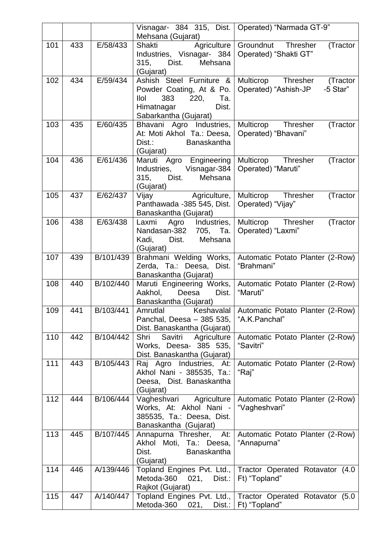|     |     |           | Mehsana (Gujarat)                                                                                                                  | Visnagar- 384 315, Dist.   Operated) "Narmada GT-9"                                       |
|-----|-----|-----------|------------------------------------------------------------------------------------------------------------------------------------|-------------------------------------------------------------------------------------------|
| 101 | 433 | E/58/433  | Agriculture<br>Shakti<br>Industries, Visnagar- 384<br>Mehsana<br>315,<br>Dist.<br>(Gujarat)                                        | Groundnut Thresher<br>(Tractor<br>Operated) "Shakti GT"                                   |
| 102 | 434 | E/59/434  | Ashish Steel Furniture &<br>Powder Coating, At & Po.<br>220,<br>llol<br>383<br>Ta.<br>Himatnagar<br>Dist.<br>Sabarkantha (Gujarat) | Multicrop Thresher (Tractor<br>Operated) "Ashish-JP<br>-5 Star"                           |
| 103 | 435 | E/60/435  | Bhavani Agro Industries,<br>At: Moti Akhol Ta.: Deesa,<br><b>Banaskantha</b><br>$Dist.$ :<br>(Gujarat)                             | Multicrop Thresher<br>(Tractor<br>Operated) "Bhavani"                                     |
| 104 | 436 | E/61/436  | Maruti Agro Engineering<br>Industries, Visnagar-384<br>315,<br>Dist.<br>Mehsana<br>(Gujarat)                                       | Multicrop Thresher<br>(Tractor<br>Operated) "Maruti"                                      |
| 105 | 437 | E/62/437  | Vijay Agriculture,<br>Panthawada -385 545, Dist.<br>Banaskantha (Gujarat)                                                          | Multicrop Thresher<br>(Tractor<br>Operated) "Vijay"                                       |
| 106 | 438 | E/63/438  | Agro Industries,<br>Laxmi<br>Nandasan-382 705, Ta.<br>Dist.<br>Mehsana<br>Kadi,<br>(Gujarat)                                       | Multicrop Thresher<br>(Tractor<br>Operated) "Laxmi"                                       |
| 107 | 439 | B/101/439 | Brahmani Welding Works,<br>Zerda, Ta.: Deesa, Dist.<br>Banaskantha (Gujarat)                                                       | Automatic Potato Planter (2-Row)<br>"Brahmani"                                            |
| 108 | 440 | B/102/440 | Maruti Engineering Works,<br>Aakhol,<br>Deesa<br>Dist.<br>Banaskantha (Gujarat)                                                    | Automatic Potato Planter (2-Row)<br>"Maruti"                                              |
| 109 | 441 | B/103/441 | Amrutlal<br>Keshavalal<br>Panchal, Deesa - 385 535,<br>Dist. Banaskantha (Gujarat)                                                 | Automatic Potato Planter (2-Row)<br>"A.K.Panchal"                                         |
| 110 | 442 | B/104/442 | Savitri<br>Shri<br>Agriculture<br>Works, Deesa- 385 535,<br>Dist. Banaskantha (Gujarat)                                            | Automatic Potato Planter (2-Row)<br>"Savitri"                                             |
| 111 | 443 | B/105/443 | Raj Agro Industries, At:<br>Akhol Nani - 385535, Ta.:<br>Deesa, Dist. Banaskantha<br>(Gujarat)                                     | Automatic Potato Planter (2-Row)<br>"Raj"                                                 |
| 112 | 444 | B/106/444 | Vagheshvari Agriculture<br>Works, At: Akhol Nani -<br>385535, Ta.: Deesa, Dist.<br>Banaskantha (Gujarat)                           | Automatic Potato Planter (2-Row)<br>"Vagheshvari"                                         |
| 113 | 445 | B/107/445 | Annapurna Thresher,<br>At:<br>Akhol Moti, Ta.: Deesa,<br><b>Banaskantha</b><br>Dist.<br>(Gujarat)                                  | Automatic Potato Planter (2-Row)<br>"Annapurna"                                           |
| 114 | 446 | A/139/446 | Metoda-360 021,<br>Dist.:<br>Rajkot (Gujarat)                                                                                      | Topland Engines Pvt. Ltd., Tractor Operated Rotavator (4.0)<br>Ft) "Topland"              |
| 115 | 447 | A/140/447 | Metoda-360                                                                                                                         | Topland Engines Pvt. Ltd., Tractor Operated Rotavator (5.0<br>021, Dist.:   Ft) "Topland" |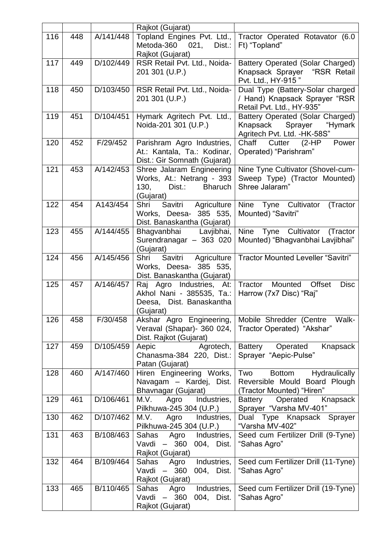|     |     |           | Rajkot (Gujarat)                                                                                        |                                                                                                        |
|-----|-----|-----------|---------------------------------------------------------------------------------------------------------|--------------------------------------------------------------------------------------------------------|
| 116 | 448 | A/141/448 | Metoda-360<br>Dist.:<br>021.<br>Rajkot (Gujarat)                                                        | Topland Engines Pvt. Ltd., Tractor Operated Rotavator (6.0<br>Ft) "Topland"                            |
| 117 | 449 | D/102/449 | RSR Retail Pvt. Ltd., Noida-<br>201 301 (U.P.)                                                          | Battery Operated (Solar Charged)<br>Knapsack Sprayer "RSR Retail<br>Pvt. Ltd., HY-915"                 |
| 118 | 450 | D/103/450 | RSR Retail Pvt. Ltd., Noida-<br>201 301 (U.P.)                                                          | Dual Type (Battery-Solar charged<br>/ Hand) Knapsack Sprayer "RSR<br>Retail Pvt. Ltd., HY-935"         |
| 119 | 451 | D/104/451 | Hymark Agritech Pvt. Ltd.,<br>Noida-201 301 (U.P.)                                                      | <b>Battery Operated (Solar Charged)</b><br>Knapsack Sprayer<br>"Hymark<br>Agritech Pvt. Ltd. - HK-58S" |
| 120 | 452 | F/29/452  | Parishram Agro Industries,<br>At.: Kantala, Ta.: Kodinar,<br>Dist.: Gir Somnath (Gujarat)               | Chaff<br>Cutter<br>$(2-HP)$<br>Power<br>Operated) "Parishram"                                          |
| 121 | 453 | A/142/453 | Shree Jalaram Engineering<br>Works, At.: Netrang - 393<br>Dist.:<br>130,<br><b>Bharuch</b><br>(Gujarat) | Nine Tyne Cultivator (Shovel-cum-<br>Sweep Type) (Tractor Mounted)<br>Shree Jalaram"                   |
| 122 | 454 | A143/454  | Shri Savitri<br>Agriculture<br>Works, Deesa- 385 535.<br>Dist. Banaskantha (Gujarat)                    | Nine Tyne Cultivator<br>(Tractor<br>Mounted) "Savitri"                                                 |
| 123 | 455 | A/144/455 | Bhagvanbhai Lavjibhai,<br>Surendranagar - 363 020<br>(Gujarat)                                          | Nine Tyne Cultivator (Tractor<br>Mounted) "Bhagvanbhai Lavjibhai"                                      |
| 124 | 456 | A/145/456 | Savitri<br>Shri<br>Agriculture<br>Works, Deesa- 385 535,<br>Dist. Banaskantha (Gujarat)                 | <b>Tractor Mounted Leveller "Savitri"</b>                                                              |
| 125 | 457 | A/146/457 | Raj Agro Industries,<br>At:<br>Akhol Nani - 385535, Ta.:<br>Deesa, Dist. Banaskantha<br>(Gujarat)       | Tractor<br><b>Offset</b><br>Mounted<br><b>Disc</b><br>Harrow (7x7 Disc) "Raj"                          |
| 126 | 458 | F/30/458  | Akshar Agro Engineering,<br>Veraval (Shapar) - 360 024,<br>Dist. Rajkot (Gujarat)                       | Mobile Shredder (Centre Walk-<br>Tractor Operated) "Akshar"                                            |
| 127 | 459 | D/105/459 | Aepic<br>Agrotech,<br>Chanasma-384 220, Dist.:<br>Patan (Gujarat)                                       | <b>Battery</b><br>Operated<br>Knapsack<br>Sprayer "Aepic-Pulse"                                        |
| 128 | 460 | A/147/460 | Hiren Engineering Works,<br>Navagam - Kardej, Dist.<br>Bhavnagar (Gujarat)                              | Two<br><b>Bottom</b><br>Hydraulically<br>Reversible Mould Board Plough<br>(Tractor Mounted) "Hiren"    |
| 129 | 461 | D/106/461 | Industries,<br>M.V.<br>Agro<br>Pilkhuwa-245 304 (U.P.)                                                  | Operated<br>Knapsack<br>Battery<br>Sprayer "Varsha MV-401"                                             |
| 130 | 462 | D/107/462 | M.V.<br>Agro<br>Industries,<br>Pilkhuwa-245 304 (U.P.)                                                  | Dual Type Knapsack Sprayer<br>"Varsha MV-402"                                                          |
| 131 | 463 | B/108/463 | Industries,<br>Sahas<br>Agro<br>Vavdi - 360<br>004, Dist.<br>Rajkot (Gujarat)                           | Seed cum Fertilizer Drill (9-Tyne)<br>"Sahas Agro"                                                     |
| 132 | 464 | B/109/464 | Sahas<br>Industries,<br>Agro<br>$-360$<br>Vavdi<br>004, Dist.<br>Rajkot (Gujarat)                       | Seed cum Fertilizer Drill (11-Tyne)<br>"Sahas Agro"                                                    |
| 133 | 465 | B/110/465 | Sahas<br>Industries,<br>Agro<br>360<br>004, Dist.<br>Vavdi<br>$\frac{1}{2}$<br>Rajkot (Gujarat)         | Seed cum Fertilizer Drill (19-Tyne)<br>"Sahas Agro"                                                    |